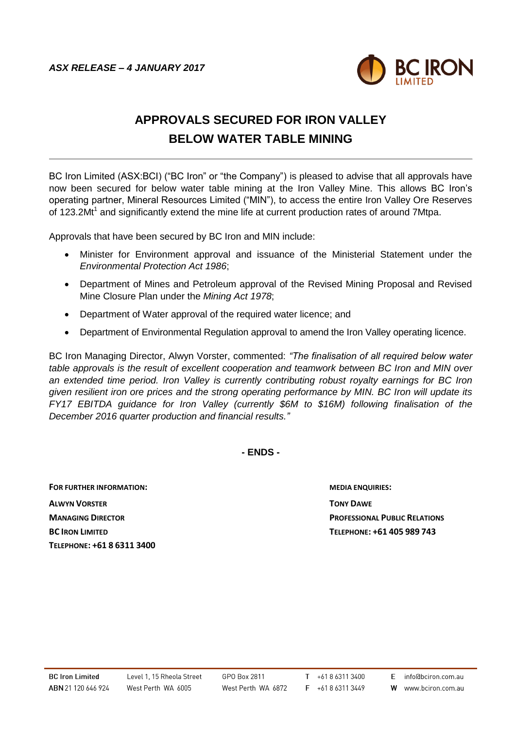

## **APPROVALS SECURED FOR IRON VALLEY BELOW WATER TABLE MINING**

BC Iron Limited (ASX:BCI) ("BC Iron" or "the Company") is pleased to advise that all approvals have now been secured for below water table mining at the Iron Valley Mine. This allows BC Iron's operating partner, Mineral Resources Limited ("MIN"), to access the entire Iron Valley Ore Reserves of 123.2Mt<sup>1</sup> and significantly extend the mine life at current production rates of around 7Mtpa.

Approvals that have been secured by BC Iron and MIN include:

- Minister for Environment approval and issuance of the Ministerial Statement under the *Environmental Protection Act 1986*;
- Department of Mines and Petroleum approval of the Revised Mining Proposal and Revised Mine Closure Plan under the *Mining Act 1978*;
- Department of Water approval of the required water licence; and
- Department of Environmental Regulation approval to amend the Iron Valley operating licence.

BC Iron Managing Director, Alwyn Vorster, commented: *"The finalisation of all required below water table approvals is the result of excellent cooperation and teamwork between BC Iron and MIN over an extended time period. Iron Valley is currently contributing robust royalty earnings for BC Iron given resilient iron ore prices and the strong operating performance by MIN. BC Iron will update its FY17 EBITDA guidance for Iron Valley (currently \$6M to \$16M) following finalisation of the December 2016 quarter production and financial results."*

**- ENDS -**

**FOR FURTHER INFORMATION: MEDIA ENQUIRIES: ALWYN VORSTER TONY DAWE TELEPHONE: +61 8 6311 3400**

**MANAGING DIRECTOR PROFESSIONAL PUBLIC RELATIONS BC IRON LIMITED TELEPHONE: +61 405 989 743**